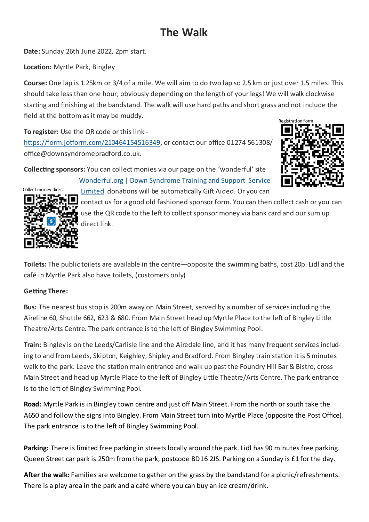## **The Walk**

**Date:** Sunday 26th June 2022, 2pm start.

**Location:** Myrtle Park, Bingley

**Course:** One lap is 1.25km or 3/4 of a mile. We will aim to do two lap so 2.5 km or just over 1.5 miles. This should take less than one hour; obviously depending on the length of your legs! We will walk clockwise starting and finishing at the bandstand. The walk will use hard paths and short grass and not include the field at the bottom as it may be muddy.

**To register:** Use the QR code or this link -

[https://form.jotform.com/210464154516349,](https://form.jotform.com/210464154516349) or contact our office 01274 561308/ office@downsyndromebradford.co.uk.

**Collecting sponsors:** You can collect monies via our page on the 'wonderful' site





[Wonderful.org | Down Syndrome Training and Support Service](https://wonderful.org/charities/1130994)  [Limited](https://wonderful.org/charities/1130994) donations will be automatically Gift Aided. Or you can

contact us for a good old fashioned sponsor form. You can then collect cash or you can use the QR code to the left to collect sponsor money via bank card and our sum up direct link.

**Toilets:** The public toilets are available in the centre—opposite the swimming baths, cost 20p. Lidl and the café in Myrtle Park also have toilets, (customers only)

## **Getting There:**

**Bus:** The nearest bus stop is 200m away on Main Street, served by a number of services including the Aireline 60, Shuttle 662, 623 & 680. From Main Street head up Myrtle Place to the left of Bingley Little Theatre/Arts Centre. The park entrance is to the left of Bingley Swimming Pool.

**Train:** Bingley is on the Leeds/Carlisle line and the Airedale line, and it has many frequent services including to and from Leeds, Skipton, Keighley, Shipley and Bradford. From Bingley train station it is 5 minutes walk to the park. Leave the station main entrance and walk up past the Foundry Hill Bar & Bistro, cross Main Street and head up Myrtle Place to the left of Bingley Little Theatre/Arts Centre. The park entrance is to the left of Bingley Swimming Pool.

**Road:** Myrtle Park is in Bingley town centre and just off Main Street. From the north or south take the A650 and follow the signs into Bingley. From Main Street turn into Myrtle Place (opposite the Post Office). The park entrance is to the left of Bingley Swimming Pool.

**Parking:** There is limited free parking in streets locally around the park. Lidl has 90 minutes free parking. Queen Street car park is 250m from the park, postcode BD16 2JS. Parking on a Sunday is £1 for the day.

**After the walk:** Families are welcome to gather on the grass by the bandstand for a picnic/refreshments. There is a play area in the park and a café where you can buy an ice cream/drink.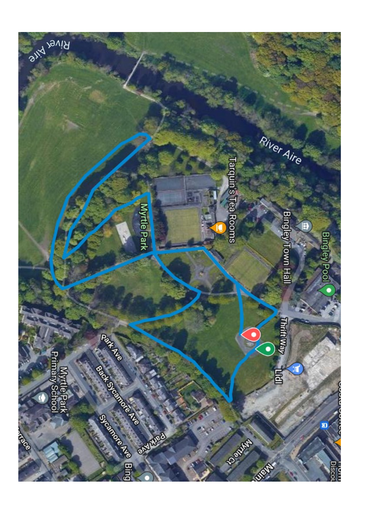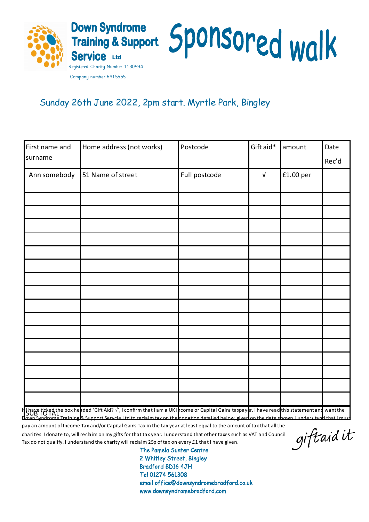

## Sunday 26th June 2022, 2pm start. Myrtle Park, Bingley

| First name and | Home address (not works)                                                                                                                                                                                                          | Postcode      | Gift aid*  | amount    | Date  |
|----------------|-----------------------------------------------------------------------------------------------------------------------------------------------------------------------------------------------------------------------------------|---------------|------------|-----------|-------|
| surname        |                                                                                                                                                                                                                                   |               |            |           | Rec'd |
| Ann somebody   | 51 Name of street                                                                                                                                                                                                                 | Full postcode | $\sqrt{ }$ | £1.00 per |       |
|                |                                                                                                                                                                                                                                   |               |            |           |       |
|                |                                                                                                                                                                                                                                   |               |            |           |       |
|                |                                                                                                                                                                                                                                   |               |            |           |       |
|                |                                                                                                                                                                                                                                   |               |            |           |       |
|                |                                                                                                                                                                                                                                   |               |            |           |       |
|                |                                                                                                                                                                                                                                   |               |            |           |       |
|                |                                                                                                                                                                                                                                   |               |            |           |       |
|                |                                                                                                                                                                                                                                   |               |            |           |       |
|                |                                                                                                                                                                                                                                   |               |            |           |       |
|                |                                                                                                                                                                                                                                   |               |            |           |       |
|                |                                                                                                                                                                                                                                   |               |            |           |       |
|                |                                                                                                                                                                                                                                   |               |            |           |       |
|                |                                                                                                                                                                                                                                   |               |            |           |       |
|                |                                                                                                                                                                                                                                   |               |            |           |       |
|                |                                                                                                                                                                                                                                   |               |            |           |       |
|                |                                                                                                                                                                                                                                   |               |            |           |       |
|                | It have ticked the box headed 'Gift Aid? √, I confirm that I am a UK I hcome or Capital Gains taxpayer. I have read this statement and want the<br>Town Syndrome Training & Sunnort Servcie I td to reclaim tax on the donation d |               |            |           |       |

pay an amount of Income Tax and/or Capital Gains Tax in the tax year at least equal to the amount of tax that all the charities I donate to, will reclaim on my gifts for that tax year. I understand that other taxes such as VAT and Council Tax do not qualify. I understand the charity will reclaim 25p of tax on every £1 that I have given.

giftaid it

The Pamela Sunter Centre 2 Whitley Street, Bingley **Bradford BD16 4JH** Tel 01274 561308 email office@downsyndromebradford.co.uk www.downsyndromebradford.com